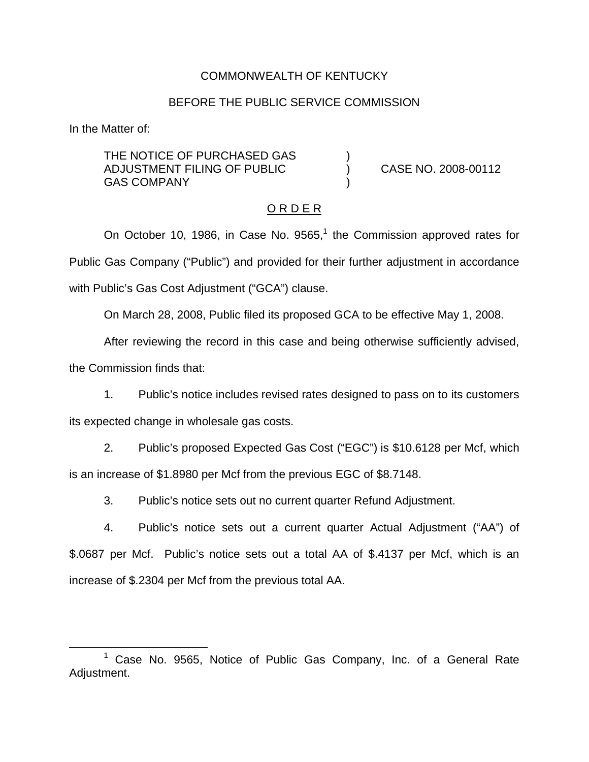## COMMONWEALTH OF KENTUCKY

#### BEFORE THE PUBLIC SERVICE COMMISSION

In the Matter of:

THE NOTICE OF PURCHASED GAS ADJUSTMENT FILING OF PUBLIC ) CASE NO. 2008-00112 **GAS COMPANY** 

#### O R D E R

On October 10, 1986, in Case No.  $9565<sup>1</sup>$ , the Commission approved rates for Public Gas Company ("Public") and provided for their further adjustment in accordance with Public's Gas Cost Adjustment ("GCA") clause.

On March 28, 2008, Public filed its proposed GCA to be effective May 1, 2008.

After reviewing the record in this case and being otherwise sufficiently advised,

the Commission finds that:

1. Public's notice includes revised rates designed to pass on to its customers its expected change in wholesale gas costs.

2. Public's proposed Expected Gas Cost ("EGC") is \$10.6128 per Mcf, which is an increase of \$1.8980 per Mcf from the previous EGC of \$8.7148.

3. Public's notice sets out no current quarter Refund Adjustment.

4. Public's notice sets out a current quarter Actual Adjustment ("AA") of \$.0687 per Mcf. Public's notice sets out a total AA of \$.4137 per Mcf, which is an increase of \$.2304 per Mcf from the previous total AA.

 $1$  Case No. 9565, Notice of Public Gas Company, Inc. of a General Rate Adjustment.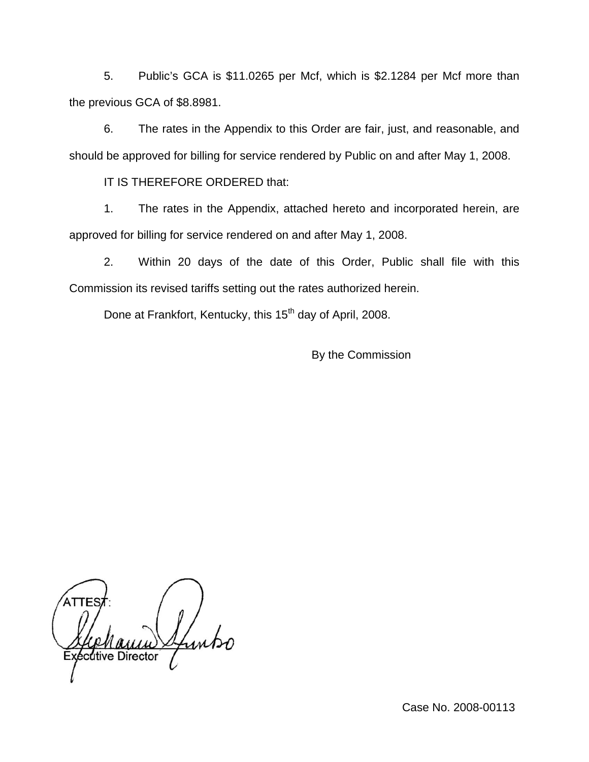5. Public's GCA is \$11.0265 per Mcf, which is \$2.1284 per Mcf more than the previous GCA of \$8.8981.

6. The rates in the Appendix to this Order are fair, just, and reasonable, and should be approved for billing for service rendered by Public on and after May 1, 2008.

IT IS THEREFORE ORDERED that:

1. The rates in the Appendix, attached hereto and incorporated herein, are approved for billing for service rendered on and after May 1, 2008.

2. Within 20 days of the date of this Order, Public shall file with this Commission its revised tariffs setting out the rates authorized herein.

Done at Frankfort, Kentucky, this 15<sup>th</sup> day of April, 2008.

By the Commission

dtive Director